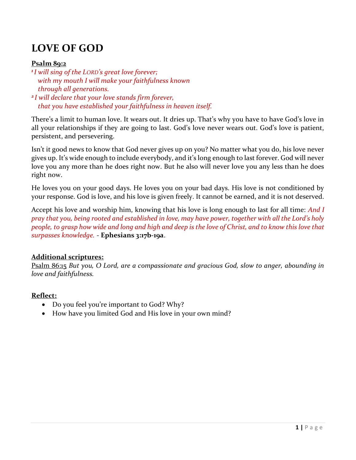# LOVE OF GOD

## Psalm 89:2

<sup>1</sup>I will sing of the LORD's great love forever; with my mouth I will make your faithfulness known through all generations. <sup>2</sup>I will declare that your love stands firm forever,

that you have established your faithfulness in heaven itself.

There's a limit to human love. It wears out. It dries up. That's why you have to have God's love in all your relationships if they are going to last. God's love never wears out. God's love is patient, persistent, and persevering.

Isn't it good news to know that God never gives up on you? No matter what you do, his love never gives up. It's wide enough to include everybody, and it's long enough to last forever. God will never love you any more than he does right now. But he also will never love you any less than he does right now.

He loves you on your good days. He loves you on your bad days. His love is not conditioned by your response. God is love, and his love is given freely. It cannot be earned, and it is not deserved.

Accept his love and worship him, knowing that his love is long enough to last for all time: And I pray that you, being rooted and established in love, may have power, together with all the Lord's holy people, to grasp how wide and long and high and deep is the love of Christ, and to know this love that surpasses knowledge. - Ephesians 3:17b-19a.

## Additional scriptures:

Psalm 86:15 But you, O Lord, are a compassionate and gracious God, slow to anger, abounding in love and faithfulness.

## Reflect:

- Do you feel you're important to God? Why?
- How have you limited God and His love in your own mind?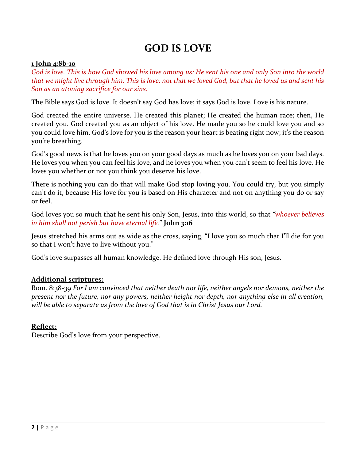# GOD IS LOVE

## 1 John 4:8b-10

God is love. This is how God showed his love among us: He sent his one and only Son into the world that we might live through him. This is love: not that we loved God, but that he loved us and sent his Son as an atoning sacrifice for our sins.

The Bible says God is love. It doesn't say God has love; it says God is love. Love is his nature.

God created the entire universe. He created this planet; He created the human race; then, He created you. God created you as an object of his love. He made you so he could love you and so you could love him. God's love for you is the reason your heart is beating right now; it's the reason you're breathing.

God's good news is that he loves you on your good days as much as he loves you on your bad days. He loves you when you can feel his love, and he loves you when you can't seem to feel his love. He loves you whether or not you think you deserve his love.

There is nothing you can do that will make God stop loving you. You could try, but you simply can't do it, because His love for you is based on His character and not on anything you do or say or feel.

God loves you so much that he sent his only Son, Jesus, into this world, so that "whoever believes in him shall not perish but have eternal life." John 3:16

Jesus stretched his arms out as wide as the cross, saying, "I love you so much that I'll die for you so that I won't have to live without you."

God's love surpasses all human knowledge. He defined love through His son, Jesus.

## Additional scriptures:

Rom. 8:38-39 For I am convinced that neither death nor life, neither angels nor demons, neither the present nor the future, nor any powers, neither height nor depth, nor anything else in all creation, will be able to separate us from the love of God that is in Christ Jesus our Lord.

## Reflect:

Describe God's love from your perspective.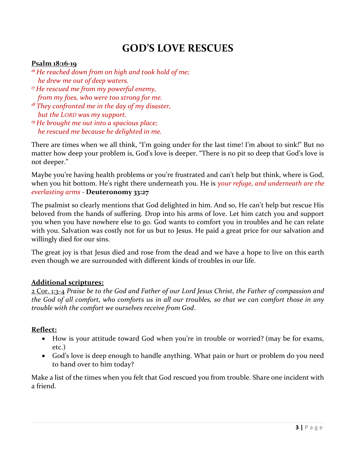# GOD'S LOVE RESCUES

## Psalm 18:16-19

- $16$  He reached down from on high and took hold of me; he drew me out of deep waters.
- <sup>17</sup> He rescued me from my powerful enemy, from my foes, who were too strong for me.
- $18$  They confronted me in the day of my disaster, but the LORD was my support.
- $19$  He brought me out into a spacious place; he rescued me because he delighted in me.

There are times when we all think, "I'm going under for the last time! I'm about to sink!" But no matter how deep your problem is, God's love is deeper. "There is no pit so deep that God's love is not deeper."

Maybe you're having health problems or you're frustrated and can't help but think, where is God, when you hit bottom. He's right there underneath you. He is your refuge, and underneath are the everlasting arms - Deuteronomy 33:27

The psalmist so clearly mentions that God delighted in him. And so, He can't help but rescue His beloved from the hands of suffering. Drop into his arms of love. Let him catch you and support you when you have nowhere else to go. God wants to comfort you in troubles and he can relate with you. Salvation was costly not for us but to Jesus. He paid a great price for our salvation and willingly died for our sins.

The great joy is that Jesus died and rose from the dead and we have a hope to live on this earth even though we are surrounded with different kinds of troubles in our life.

#### Additional scriptures:

2 Cor. 1:3-4 Praise be to the God and Father of our Lord Jesus Christ, the Father of compassion and the God of all comfort, who comforts us in all our troubles, so that we can comfort those in any trouble with the comfort we ourselves receive from God.

#### Reflect:

- How is your attitude toward God when you're in trouble or worried? (may be for exams, etc.)
- God's love is deep enough to handle anything. What pain or hurt or problem do you need to hand over to him today?

Make a list of the times when you felt that God rescued you from trouble. Share one incident with a friend.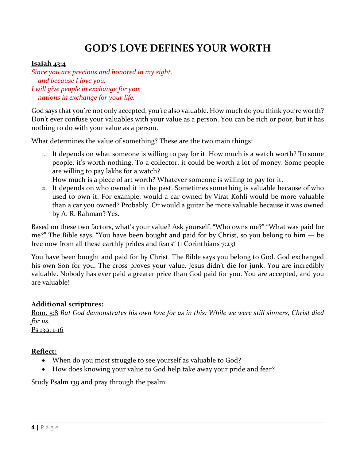# GOD'S LOVE DEFINES YOUR WORTH

## Isaiah 43:4

Since you are precious and honored in my sight, and because I love you, I will give people in exchange for you, nations in exchange for your life.

God says that you're not only accepted, you're also valuable. How much do you think you're worth? Don't ever confuse your valuables with your value as a person. You can be rich or poor, but it has nothing to do with your value as a person.

What determines the value of something? These are the two main things:

1. It depends on what someone is willing to pay for it. How much is a watch worth? To some people, it's worth nothing. To a collector, it could be worth a lot of money. Some people are willing to pay lakhs for a watch?

How much is a piece of art worth? Whatever someone is willing to pay for it.

2. It depends on who owned it in the past. Sometimes something is valuable because of who used to own it. For example, would a car owned by Virat Kohli would be more valuable than a car you owned? Probably. Or would a guitar be more valuable because it was owned by A. R. Rahman? Yes.

Based on these two factors, what's your value? Ask yourself, "Who owns me?" "What was paid for me?" The Bible says, "You have been bought and paid for by Christ, so you belong to him — be free now from all these earthly prides and fears" (1 Corinthians 7:23)

You have been bought and paid for by Christ. The Bible says you belong to God. God exchanged his own Son for you. The cross proves your value. Jesus didn't die for junk. You are incredibly valuable. Nobody has ever paid a greater price than God paid for you. You are accepted, and you are valuable!

## Additional scriptures:

Rom. 5:8 But God demonstrates his own love for us in this: While we were still sinners, Christ died for us.

P<sub>S</sub> 139: 1-16

## Reflect:

- When do you most struggle to see yourself as valuable to God?
- How does knowing your value to God help take away your pride and fear?

Study Psalm 139 and pray through the psalm.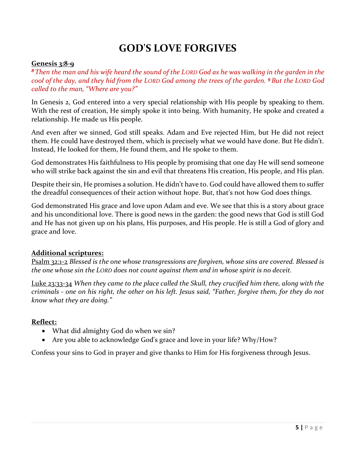## GOD'S LOVE FORGIVES

#### Genesis 3:8-9

<sup>8</sup>Then the man and his wife heard the sound of the LORD God as he was walking in the garden in the cool of the day, and they hid from the LORD God among the trees of the garden. <sup>9</sup>But the LORD God called to the man, "Where are you?"

In Genesis 2, God entered into a very special relationship with His people by speaking to them. With the rest of creation, He simply spoke it into being. With humanity, He spoke and created a relationship. He made us His people.

And even after we sinned, God still speaks. Adam and Eve rejected Him, but He did not reject them. He could have destroyed them, which is precisely what we would have done. But He didn't. Instead, He looked for them, He found them, and He spoke to them.

God demonstrates His faithfulness to His people by promising that one day He will send someone who will strike back against the sin and evil that threatens His creation, His people, and His plan.

Despite their sin, He promises a solution. He didn't have to. God could have allowed them to suffer the dreadful consequences of their action without hope. But, that's not how God does things.

God demonstrated His grace and love upon Adam and eve. We see that this is a story about grace and his unconditional love. There is good news in the garden: the good news that God is still God and He has not given up on his plans, His purposes, and His people. He is still a God of glory and grace and love.

## Additional scriptures:

Psalm 32:1-2 Blessed is the one whose transgressions are forgiven, whose sins are covered. Blessed is the one whose sin the LORD does not count against them and in whose spirit is no deceit.

Luke 23:33-34 When they came to the place called the Skull, they crucified him there, along with the criminals - one on his right, the other on his left. Jesus said, "Father, forgive them, for they do not know what they are doing."

#### Reflect:

- What did almighty God do when we sin?
- Are you able to acknowledge God's grace and love in your life? Why/How?

Confess your sins to God in prayer and give thanks to Him for His forgiveness through Jesus.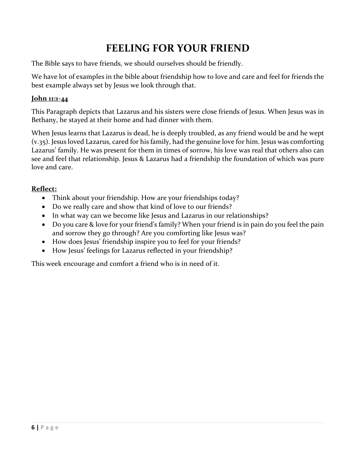# FEELING FOR YOUR FRIEND

The Bible says to have friends, we should ourselves should be friendly.

We have lot of examples in the bible about friendship how to love and care and feel for friends the best example always set by Jesus we look through that.

## John 11:1-44

This Paragraph depicts that Lazarus and his sisters were close friends of Jesus. When Jesus was in Bethany, he stayed at their home and had dinner with them.

When Jesus learns that Lazarus is dead, he is deeply troubled, as any friend would be and he wept (v.35). Jesus loved Lazarus, cared for his family, had the genuine love for him. Jesus was comforting Lazarus' family. He was present for them in times of sorrow, his love was real that others also can see and feel that relationship. Jesus & Lazarus had a friendship the foundation of which was pure love and care.

## Reflect:

- Think about your friendship. How are your friendships today?
- Do we really care and show that kind of love to our friends?
- In what way can we become like Jesus and Lazarus in our relationships?
- Do you care & love for your friend's family? When your friend is in pain do you feel the pain and sorrow they go through? Are you comforting like Jesus was?
- How does Jesus' friendship inspire you to feel for your friends?
- How Jesus' feelings for Lazarus reflected in your friendship?

This week encourage and comfort a friend who is in need of it.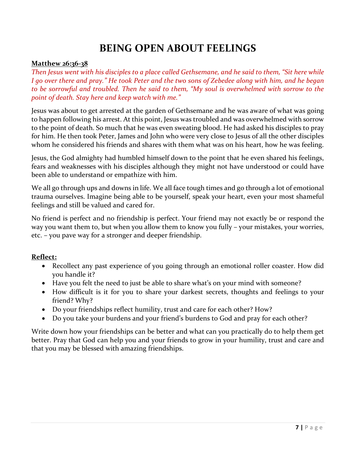# BEING OPEN ABOUT FEELINGS

#### Matthew 26:36-38

Then Jesus went with his disciples to a place called Gethsemane, and he said to them, "Sit here while I go over there and pray." He took Peter and the two sons of Zebedee along with him, and he began to be sorrowful and troubled. Then he said to them, "My soul is overwhelmed with sorrow to the point of death. Stay here and keep watch with me."

Jesus was about to get arrested at the garden of Gethsemane and he was aware of what was going to happen following his arrest. At this point, Jesus was troubled and was overwhelmed with sorrow to the point of death. So much that he was even sweating blood. He had asked his disciples to pray for him. He then took Peter, James and John who were very close to Jesus of all the other disciples whom he considered his friends and shares with them what was on his heart, how he was feeling.

Jesus, the God almighty had humbled himself down to the point that he even shared his feelings, fears and weaknesses with his disciples although they might not have understood or could have been able to understand or empathize with him.

We all go through ups and downs in life. We all face tough times and go through a lot of emotional trauma ourselves. Imagine being able to be yourself, speak your heart, even your most shameful feelings and still be valued and cared for.

No friend is perfect and no friendship is perfect. Your friend may not exactly be or respond the way you want them to, but when you allow them to know you fully – your mistakes, your worries, etc. – you pave way for a stronger and deeper friendship.

## Reflect:

- Recollect any past experience of you going through an emotional roller coaster. How did you handle it?
- Have you felt the need to just be able to share what's on your mind with someone?
- How difficult is it for you to share your darkest secrets, thoughts and feelings to your friend? Why?
- Do your friendships reflect humility, trust and care for each other? How?
- Do you take your burdens and your friend's burdens to God and pray for each other?

Write down how your friendships can be better and what can you practically do to help them get better. Pray that God can help you and your friends to grow in your humility, trust and care and that you may be blessed with amazing friendships.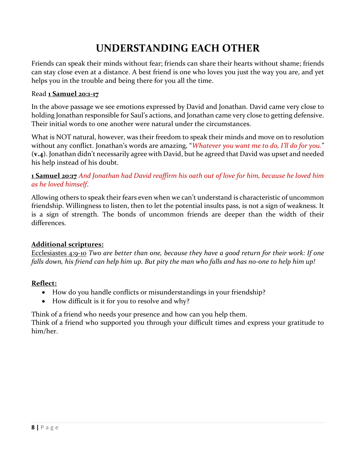# UNDERSTANDING EACH OTHER

Friends can speak their minds without fear; friends can share their hearts without shame; friends can stay close even at a distance. A best friend is one who loves you just the way you are, and yet helps you in the trouble and being there for you all the time.

## Read 1 Samuel 20:1-17

In the above passage we see emotions expressed by David and Jonathan. David came very close to holding Jonathan responsible for Saul's actions, and Jonathan came very close to getting defensive. Their initial words to one another were natural under the circumstances.

What is NOT natural, however, was their freedom to speak their minds and move on to resolution without any conflict. Jonathan's words are amazing, "Whatever you want me to do, I'll do for you." (v.4). Jonathan didn't necessarily agree with David, but he agreed that David was upset and needed his help instead of his doubt.

## 1 Samuel 20:17 And Jonathan had David reaffirm his oath out of love for him, because he loved him as he loved himself.

Allowing others to speak their fears even when we can't understand is characteristic of uncommon friendship. Willingness to listen, then to let the potential insults pass, is not a sign of weakness. It is a sign of strength. The bonds of uncommon friends are deeper than the width of their differences.

## Additional scriptures:

Ecclesiastes 4:9-10 Two are better than one, because they have a good return for their work: If one falls down, his friend can help him up. But pity the man who falls and has no-one to help him up!

## Reflect:

- How do you handle conflicts or misunderstandings in your friendship?
- How difficult is it for you to resolve and why?

Think of a friend who needs your presence and how can you help them.

Think of a friend who supported you through your difficult times and express your gratitude to him/her.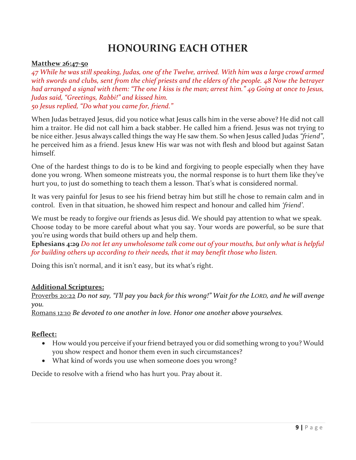# HONOURING EACH OTHER

#### Matthew 26:47-50

47 While he was still speaking, Judas, one of the Twelve, arrived. With him was a large crowd armed with swords and clubs, sent from the chief priests and the elders of the people. 48 Now the betrayer had arranged a signal with them: "The one I kiss is the man; arrest him." 49 Going at once to Jesus, Judas said, "Greetings, Rabbi!" and kissed him. 50 Jesus replied, "Do what you came for, friend."

When Judas betrayed Jesus, did you notice what Jesus calls him in the verse above? He did not call him a traitor. He did not call him a back stabber. He called him a friend. Jesus was not trying to be nice either. Jesus always called things the way He saw them. So when Jesus called Judas "friend", he perceived him as a friend. Jesus knew His war was not with flesh and blood but against Satan himself.

One of the hardest things to do is to be kind and forgiving to people especially when they have done you wrong. When someone mistreats you, the normal response is to hurt them like they've hurt you, to just do something to teach them a lesson. That's what is considered normal.

It was very painful for Jesus to see his friend betray him but still he chose to remain calm and in control. Even in that situation, he showed him respect and honour and called him 'friend'.

We must be ready to forgive our friends as Jesus did. We should pay attention to what we speak. Choose today to be more careful about what you say. Your words are powerful, so be sure that you're using words that build others up and help them.

Ephesians 4:29 Do not let any unwholesome talk come out of your mouths, but only what is helpful for building others up according to their needs, that it may benefit those who listen.

Doing this isn't normal, and it isn't easy, but its what's right.

## Additional Scriptures:

Proverbs 20:22 Do not say, "I'll pay you back for this wrong!" Wait for the LORD, and he will avenge you.

Romans 12:10 Be devoted to one another in love. Honor one another above yourselves.

## Reflect:

- How would you perceive if your friend betrayed you or did something wrong to you? Would you show respect and honor them even in such circumstances?
- What kind of words you use when someone does you wrong?

Decide to resolve with a friend who has hurt you. Pray about it.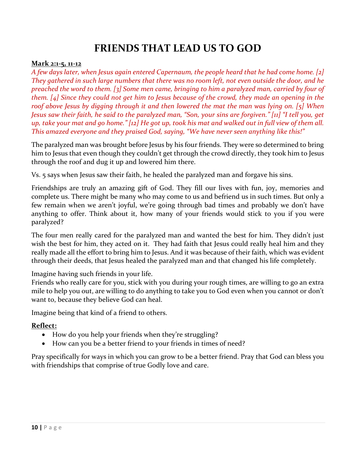## FRIENDS THAT LEAD US TO GOD

#### Mark 2:1-5, 11-12

A few days later, when Jesus again entered Capernaum, the people heard that he had come home. [2] They gathered in such large numbers that there was no room left, not even outside the door, and he preached the word to them. [3] Some men came, bringing to him a paralyzed man, carried by four of them. [4] Since they could not get him to Jesus because of the crowd, they made an opening in the roof above Jesus by digging through it and then lowered the mat the man was lying on. [5] When Jesus saw their faith, he said to the paralyzed man, "Son, your sins are forgiven." [11] "I tell you, get up, take your mat and go home." [12] He got up, took his mat and walked out in full view of them all. This amazed everyone and they praised God, saying, "We have never seen anything like this!"

The paralyzed man was brought before Jesus by his four friends. They were so determined to bring him to Jesus that even though they couldn't get through the crowd directly, they took him to Jesus through the roof and dug it up and lowered him there.

Vs. 5 says when Jesus saw their faith, he healed the paralyzed man and forgave his sins.

Friendships are truly an amazing gift of God. They fill our lives with fun, joy, memories and complete us. There might be many who may come to us and befriend us in such times. But only a few remain when we aren't joyful, we're going through bad times and probably we don't have anything to offer. Think about it, how many of your friends would stick to you if you were paralyzed?

The four men really cared for the paralyzed man and wanted the best for him. They didn't just wish the best for him, they acted on it. They had faith that Jesus could really heal him and they really made all the effort to bring him to Jesus. And it was because of their faith, which was evident through their deeds, that Jesus healed the paralyzed man and that changed his life completely.

Imagine having such friends in your life.

Friends who really care for you, stick with you during your rough times, are willing to go an extra mile to help you out, are willing to do anything to take you to God even when you cannot or don't want to, because they believe God can heal.

Imagine being that kind of a friend to others.

## Reflect:

- How do you help your friends when they're struggling?
- How can you be a better friend to your friends in times of need?

Pray specifically for ways in which you can grow to be a better friend. Pray that God can bless you with friendships that comprise of true Godly love and care.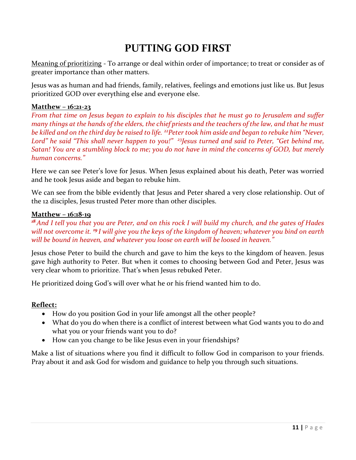# PUTTING GOD FIRST

Meaning of prioritizing - To arrange or deal within order of importance; to treat or consider as of greater importance than other matters.

Jesus was as human and had friends, family, relatives, feelings and emotions just like us. But Jesus prioritized GOD over everything else and everyone else.

#### Matthew – 16:21-23

From that time on Jesus began to explain to his disciples that he must go to Jerusalem and suffer many things at the hands of the elders, the chief priests and the teachers of the law, and that he must be killed and on the third day be raised to life. <sup>22</sup> Peter took him aside and began to rebuke him "Never, Lord" he said "This shall never happen to you!" <sup>23</sup> Jesus turned and said to Peter, "Get behind me, Satan! You are a stumbling block to me; you do not have in mind the concerns of GOD, but merely human concerns."

Here we can see Peter's love for Jesus. When Jesus explained about his death, Peter was worried and he took Jesus aside and began to rebuke him.

We can see from the bible evidently that Jesus and Peter shared a very close relationship. Out of the 12 disciples, Jesus trusted Peter more than other disciples.

#### Matthew – 16:18-19

 $18$ And I tell you that you are Peter, and on this rock I will build my church, and the gates of Hades will not overcome it. <sup>19</sup> I will give you the keys of the kingdom of heaven; whatever you bind on earth will be bound in heaven, and whatever you loose on earth will be loosed in heaven."

Jesus chose Peter to build the church and gave to him the keys to the kingdom of heaven. Jesus gave high authority to Peter. But when it comes to choosing between God and Peter, Jesus was very clear whom to prioritize. That's when Jesus rebuked Peter.

He prioritized doing God's will over what he or his friend wanted him to do.

#### Reflect:

- How do you position God in your life amongst all the other people?
- What do you do when there is a conflict of interest between what God wants you to do and what you or your friends want you to do?
- How can you change to be like Jesus even in your friendships?

Make a list of situations where you find it difficult to follow God in comparison to your friends. Pray about it and ask God for wisdom and guidance to help you through such situations.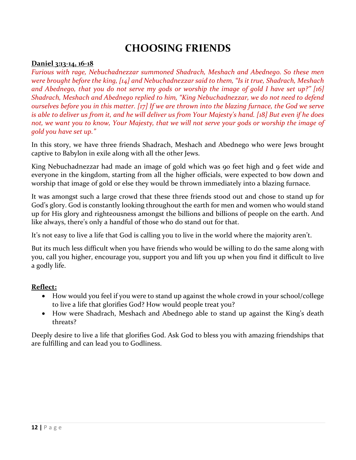## CHOOSING FRIENDS

## Daniel 3:13-14, 16-18

Furious with rage, Nebuchadnezzar summoned Shadrach, Meshach and Abednego. So these men were brought before the king, [14] and Nebuchadnezzar said to them, "Is it true, Shadrach, Meshach and Abednego, that you do not serve my gods or worship the image of gold I have set up?" [16] Shadrach, Meshach and Abednego replied to him, "King Nebuchadnezzar, we do not need to defend ourselves before you in this matter. [17] If we are thrown into the blazing furnace, the God we serve is able to deliver us from it, and he will deliver us from Your Majesty's hand. [18] But even if he does not, we want you to know, Your Majesty, that we will not serve your gods or worship the image of gold you have set up."

In this story, we have three friends Shadrach, Meshach and Abednego who were Jews brought captive to Babylon in exile along with all the other Jews.

King Nebuchadnezzar had made an image of gold which was 90 feet high and 9 feet wide and everyone in the kingdom, starting from all the higher officials, were expected to bow down and worship that image of gold or else they would be thrown immediately into a blazing furnace.

It was amongst such a large crowd that these three friends stood out and chose to stand up for God's glory. God is constantly looking throughout the earth for men and women who would stand up for His glory and righteousness amongst the billions and billions of people on the earth. And like always, there's only a handful of those who do stand out for that.

It's not easy to live a life that God is calling you to live in the world where the majority aren't.

But its much less difficult when you have friends who would be willing to do the same along with you, call you higher, encourage you, support you and lift you up when you find it difficult to live a godly life.

#### Reflect:

- How would you feel if you were to stand up against the whole crowd in your school/college to live a life that glorifies God? How would people treat you?
- How were Shadrach, Meshach and Abednego able to stand up against the King's death threats?

Deeply desire to live a life that glorifies God. Ask God to bless you with amazing friendships that are fulfilling and can lead you to Godliness.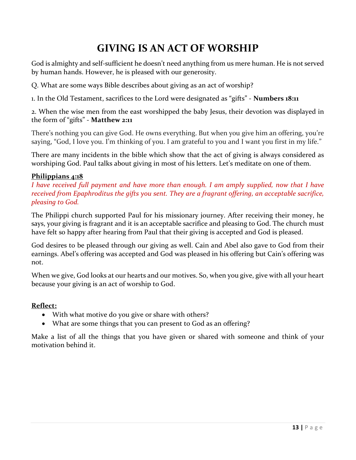# GIVING IS AN ACT OF WORSHIP

God is almighty and self-sufficient he doesn't need anything from us mere human. He is not served by human hands. However, he is pleased with our generosity.

Q. What are some ways Bible describes about giving as an act of worship?

1. In the Old Testament, sacrifices to the Lord were designated as "gifts" - Numbers 18:11

2. When the wise men from the east worshipped the baby Jesus, their devotion was displayed in the form of "gifts" - Matthew 2:11

There's nothing you can give God. He owns everything. But when you give him an offering, you're saying, "God, I love you. I'm thinking of you. I am grateful to you and I want you first in my life."

There are many incidents in the bible which show that the act of giving is always considered as worshiping God. Paul talks about giving in most of his letters. Let's meditate on one of them.

## Philippians 4:18

I have received full payment and have more than enough. I am amply supplied, now that I have received from Epaphroditus the gifts you sent. They are a fragrant offering, an acceptable sacrifice, pleasing to God.

The Philippi church supported Paul for his missionary journey. After receiving their money, he says, your giving is fragrant and it is an acceptable sacrifice and pleasing to God. The church must have felt so happy after hearing from Paul that their giving is accepted and God is pleased.

God desires to be pleased through our giving as well. Cain and Abel also gave to God from their earnings. Abel's offering was accepted and God was pleased in his offering but Cain's offering was not.

When we give, God looks at our hearts and our motives. So, when you give, give with all your heart because your giving is an act of worship to God.

## Reflect:

- With what motive do you give or share with others?
- What are some things that you can present to God as an offering?

Make a list of all the things that you have given or shared with someone and think of your motivation behind it.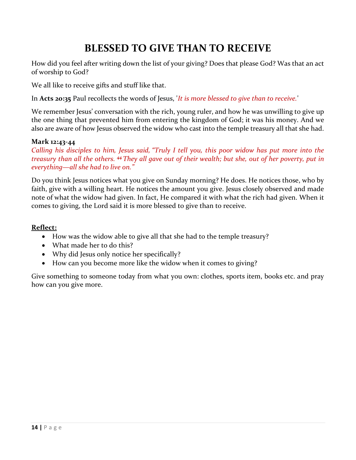# BLESSED TO GIVE THAN TO RECEIVE

How did you feel after writing down the list of your giving? Does that please God? Was that an act of worship to God?

We all like to receive gifts and stuff like that.

In Acts 20:35 Paul recollects the words of Jesus, 'It is more blessed to give than to receive.'

We remember Jesus' conversation with the rich, young ruler, and how he was unwilling to give up the one thing that prevented him from entering the kingdom of God; it was his money. And we also are aware of how Jesus observed the widow who cast into the temple treasury all that she had.

#### Mark 12:43-44

Calling his disciples to him, Jesus said, "Truly I tell you, this poor widow has put more into the treasury than all the others. <sup>44</sup>They all gave out of their wealth; but she, out of her poverty, put in everything—all she had to live on."

Do you think Jesus notices what you give on Sunday morning? He does. He notices those, who by faith, give with a willing heart. He notices the amount you give. Jesus closely observed and made note of what the widow had given. In fact, He compared it with what the rich had given. When it comes to giving, the Lord said it is more blessed to give than to receive.

#### Reflect:

- How was the widow able to give all that she had to the temple treasury?
- What made her to do this?
- Why did Jesus only notice her specifically?
- How can you become more like the widow when it comes to giving?

Give something to someone today from what you own: clothes, sports item, books etc. and pray how can you give more.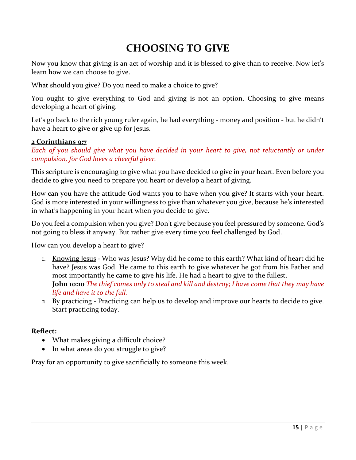# CHOOSING TO GIVE

Now you know that giving is an act of worship and it is blessed to give than to receive. Now let's learn how we can choose to give.

What should you give? Do you need to make a choice to give?

You ought to give everything to God and giving is not an option. Choosing to give means developing a heart of giving.

Let's go back to the rich young ruler again, he had everything - money and position - but he didn't have a heart to give or give up for Jesus.

#### 2 Corinthians 9:7

Each of you should give what you have decided in your heart to give, not reluctantly or under compulsion, for God loves a cheerful giver.

This scripture is encouraging to give what you have decided to give in your heart. Even before you decide to give you need to prepare you heart or develop a heart of giving.

How can you have the attitude God wants you to have when you give? It starts with your heart. God is more interested in your willingness to give than whatever you give, because he's interested in what's happening in your heart when you decide to give.

Do you feel a compulsion when you give? Don't give because you feel pressured by someone. God's not going to bless it anyway. But rather give every time you feel challenged by God.

How can you develop a heart to give?

- 1. Knowing Jesus Who was Jesus? Why did he come to this earth? What kind of heart did he have? Jesus was God. He came to this earth to give whatever he got from his Father and most importantly he came to give his life. He had a heart to give to the fullest. John 10:10 The thief comes only to steal and kill and destroy; I have come that they may have life and have it to the full.
- 2. By practicing Practicing can help us to develop and improve our hearts to decide to give. Start practicing today.

#### Reflect:

- What makes giving a difficult choice?
- In what areas do you struggle to give?

Pray for an opportunity to give sacrificially to someone this week.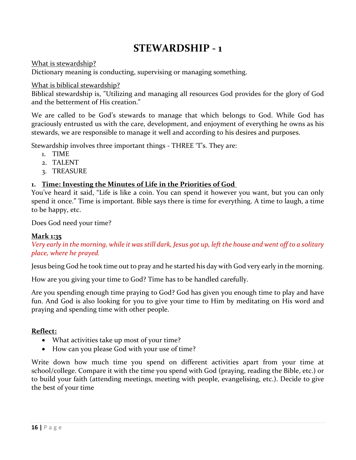## STEWARDSHIP - 1

What is stewardship?

Dictionary meaning is conducting, supervising or managing something.

#### What is biblical stewardship?

Biblical stewardship is, "Utilizing and managing all resources God provides for the glory of God and the betterment of His creation."

We are called to be God's stewards to manage that which belongs to God. While God has graciously entrusted us with the care, development, and enjoyment of everything he owns as his stewards, we are responsible to manage it well and according to his desires and purposes.

Stewardship involves three important things - THREE 'T's. They are:

- 1. TIME
- 2. TALENT
- 3. TREASURE

## 1. Time: Investing the Minutes of Life in the Priorities of God

You've heard it said, "Life is like a coin. You can spend it however you want, but you can only spend it once." Time is important. Bible says there is time for everything. A time to laugh, a time to be happy, etc.

Does God need your time?

## Mark 1:35

Very early in the morning, while it was still dark, Jesus got up, left the house and went off to a solitary place, where he prayed.

Jesus being God he took time out to pray and he started his day with God very early in the morning.

How are you giving your time to God? Time has to be handled carefully.

Are you spending enough time praying to God? God has given you enough time to play and have fun. And God is also looking for you to give your time to Him by meditating on His word and praying and spending time with other people.

## Reflect:

- What activities take up most of your time?
- How can you please God with your use of time?

Write down how much time you spend on different activities apart from your time at school/college. Compare it with the time you spend with God (praying, reading the Bible, etc.) or to build your faith (attending meetings, meeting with people, evangelising, etc.). Decide to give the best of your time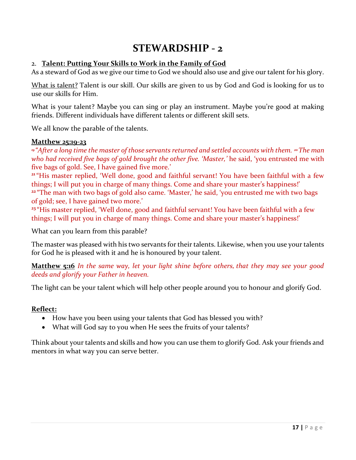## STEWARDSHIP - 2

## 2. Talent: Putting Your Skills to Work in the Family of God

As a steward of God as we give our time to God we should also use and give our talent for his glory.

What is talent? Talent is our skill. Our skills are given to us by God and God is looking for us to use our skills for Him.

What is your talent? Maybe you can sing or play an instrument. Maybe you're good at making friends. Different individuals have different talents or different skill sets.

We all know the parable of the talents.

#### Matthew 25:19-23

<sup>19</sup> "After a long time the master of those servants returned and settled accounts with them. <sup>20</sup> The man who had received five bags of gold brought the other five. 'Master,' he said, 'you entrusted me with five bags of gold. See, I have gained five more.'

<sup>21</sup> "His master replied, 'Well done, good and faithful servant! You have been faithful with a few things; I will put you in charge of many things. Come and share your master's happiness!' <sup>22</sup> "The man with two bags of gold also came. 'Master,' he said, 'you entrusted me with two bags of gold; see, I have gained two more.'

<sup>23</sup> "His master replied, 'Well done, good and faithful servant! You have been faithful with a few things; I will put you in charge of many things. Come and share your master's happiness!'

What can you learn from this parable?

The master was pleased with his two servants for their talents. Likewise, when you use your talents for God he is pleased with it and he is honoured by your talent.

Matthew 5:16 In the same way, let your light shine before others, that they may see your good deeds and glorify your Father in heaven.

The light can be your talent which will help other people around you to honour and glorify God.

## Reflect:

- How have you been using your talents that God has blessed you with?
- What will God say to you when He sees the fruits of your talents?

Think about your talents and skills and how you can use them to glorify God. Ask your friends and mentors in what way you can serve better.